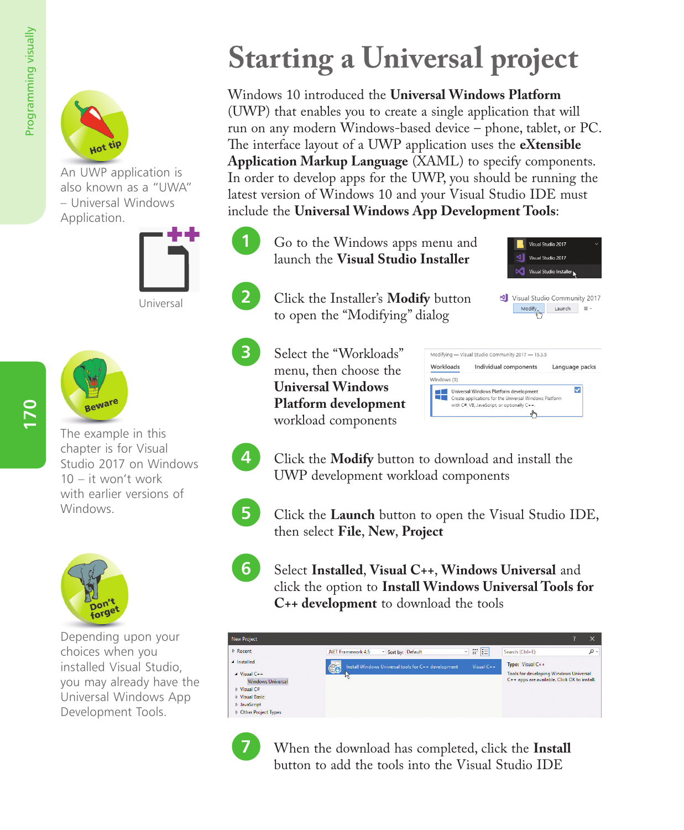

An UWP application is also known as a "UWA" – Universal Windows Application.





The example in this chapter is for Visual Studio 2017 on Windows 10 – it won't work with earlier versions of Windows.



Depending upon your choices when you installed Visual Studio, you may already have the Universal Windows App Development Tools.

## **Starting a Universal project**

Windows 10 introduced the **Universal Windows Platform** (UWP) that enables you to create a single application that will run on any modern Windows-based device – phone, tablet, or PC. The interface layout of a UWP application uses the **eXtensible Application Markup Language** (XAML) to specify components. In order to develop apps for the UWP, you should be running the latest version of Windows 10 and your Visual Studio IDE must include the **Universal Windows App Development Tools**:

Go to the Windows apps menu and launch the **Visual Studio Installer**

l**<sup>2</sup>** Click the Installer's **Modify** button to open the "Modifying" dialog





**3** Select the "Workloads" menu, then choose the **Universal Windows Platform development** workload components

| Workloads   | Individual components                                                                                                                           | Language packs |
|-------------|-------------------------------------------------------------------------------------------------------------------------------------------------|----------------|
| Windows (3) |                                                                                                                                                 |                |
|             | Universal Windows Platform development<br>Create applications for the Universal Windows Platform<br>with C#, VB, JavaScript, or optionally C++. |                |

**4** Click the **Modify** button to download and install the UWP development workload components

**5** Click the **Launch** button to open the Visual Studio IDE, then select **File**, **New**, **Project**

l**<sup>6</sup>** Select **Installed**, **Visual C++**, **Windows Universal** and click the option to **Install Windows Universal Tools for C++ development** to download the tools

| <b>New Project</b>                                                                                                                                           |                                                                                                                                                                                                  | $\times$ |
|--------------------------------------------------------------------------------------------------------------------------------------------------------------|--------------------------------------------------------------------------------------------------------------------------------------------------------------------------------------------------|----------|
| <b>D</b> Recent                                                                                                                                              | 肥田<br>Search (Ctrl+E)<br>* Sort by: Default<br>.NET Framework 4.5                                                                                                                                | - م      |
| ▲ Installed<br>$\blacktriangle$ Visual C++<br><b>Windows Universal</b><br>D Visual C#<br><b>Nisual Basic</b><br><b>D</b> JavaScript<br>D Other Project Types | 6<br>Type: Visual C++<br>Install Windows Universal tools for C++ development<br>Visual C++<br><b>Tools for developing Windows Universal</b><br>W<br>C++ apps are available. Click OK to install. |          |



**1** When the download has completed, click the **Install** button to add the tools into the Visual Studio IDE